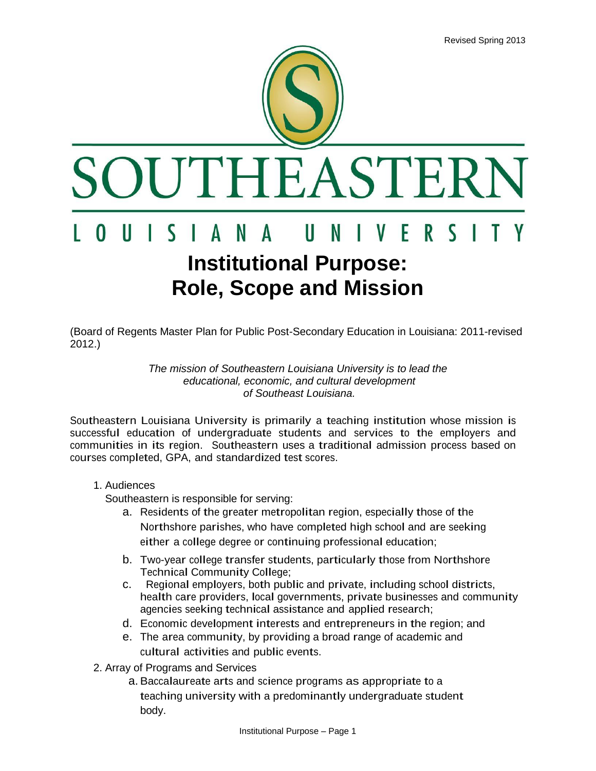

(Board of Regents Master Plan for Public Post-Secondary Education in Louisiana: 2011-revised 2012.)

## *The mission of Southeastern Louisiana University is to lead the educational, economic, and cultural development of Southeast Louisiana.*

Southeastern Louisiana University is primarily a teaching institution whose mission is successful education of undergraduate students and services to the employers and communities in its region. Southeastern uses a traditional admission process based on courses completed, GPA, and standardized test scores.

## 1. Audiences

Southeastern is responsible for serving:

- a. Residents of the greater metropolitan region, especially those of the Northshore parishes, who have completed high school and are seeking either a college degree or continuing professional education;
- b. Two-year college transfer students, particularly those from Northshore Technical Community College;
- c. Regional employers, both public and private, including school districts, health care providers, local governments, private businesses and community agencies seeking technical assistance and applied research;
- d. Economic development interests and entrepreneurs in the region; and
- e. The area community, by providing a broad range of academic and cultural activities and public events.
- 2. Array of Programs and Services
	- a. Baccalaureate arts and science programs as appropriate to a teaching university with a predominantly undergraduate student body.